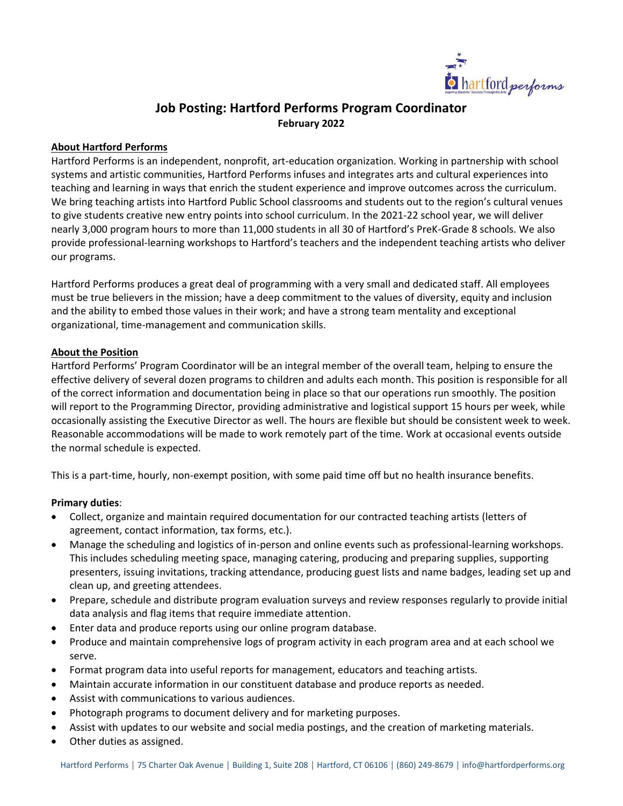

# **Job Posting: Hartford Performs Program Coordinator February 2022**

### **About Hartford Performs**

Hartford Performs is an independent, nonprofit, art-education organization. Working in partnership with school systems and artistic communities, Hartford Performs infuses and integrates arts and cultural experiences into teaching and learning in ways that enrich the student experience and improve outcomes across the curriculum. We bring teaching artists into Hartford Public School classrooms and students out to the region's cultural venues to give students creative new entry points into school curriculum. In the 2021-22 school year, we will deliver nearly 3,000 program hours to more than 11,000 students in all 30 of Hartford's PreK-Grade 8 schools. We also provide professional-learning workshops to Hartford's teachers and the independent teaching artists who deliver our programs.

Hartford Performs produces a great deal of programming with a very small and dedicated staff. All employees must be true believers in the mission; have a deep commitment to the values of diversity, equity and inclusion and the ability to embed those values in their work; and have a strong team mentality and exceptional organizational, time-management and communication skills.

## **About the Position**

Hartford Performs' Program Coordinator will be an integral member of the overall team, helping to ensure the effective delivery of several dozen programs to children and adults each month. This position is responsible for all of the correct information and documentation being in place so that our operations run smoothly. The position will report to the Programming Director, providing administrative and logistical support 15 hours per week, while occasionally assisting the Executive Director as well. The hours are flexible but should be consistent week to week. Reasonable accommodations will be made to work remotely part of the time. Work at occasional events outside the normal schedule is expected.

This is a part-time, hourly, non-exempt position, with some paid time off but no health insurance benefits.

### **Primary duties**:

- Collect, organize and maintain required documentation for our contracted teaching artists (letters of agreement, contact information, tax forms, etc.).
- Manage the scheduling and logistics of in-person and online events such as professional-learning workshops. This includes scheduling meeting space, managing catering, producing and preparing supplies, supporting presenters, issuing invitations, tracking attendance, producing guest lists and name badges, leading set up and clean up, and greeting attendees.
- Prepare, schedule and distribute program evaluation surveys and review responses regularly to provide initial data analysis and flag items that require immediate attention.
- Enter data and produce reports using our online program database.
- Produce and maintain comprehensive logs of program activity in each program area and at each school we serve.
- Format program data into useful reports for management, educators and teaching artists.
- Maintain accurate information in our constituent database and produce reports as needed.
- Assist with communications to various audiences.
- Photograph programs to document delivery and for marketing purposes.
- Assist with updates to our website and social media postings, and the creation of marketing materials.
- Other duties as assigned.